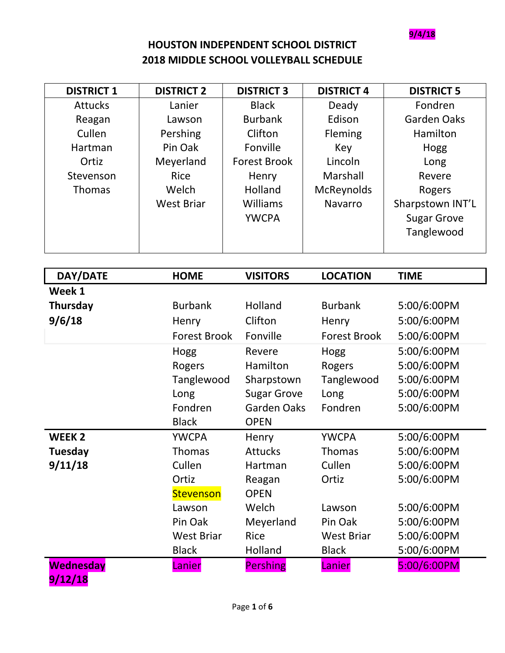**9/4/18**

## **HOUSTON INDEPENDENT SCHOOL DISTRICT 2018 MIDDLE SCHOOL VOLLEYBALL SCHEDULE**

| <b>DISTRICT 1</b> | <b>DISTRICT 2</b>   | <b>DISTRICT 3</b>   | <b>DISTRICT 4</b>   | <b>DISTRICT 5</b>  |
|-------------------|---------------------|---------------------|---------------------|--------------------|
| <b>Attucks</b>    | Lanier              | <b>Black</b>        | Deady               | Fondren            |
| Reagan            | Lawson              | <b>Burbank</b>      | Edison              | <b>Garden Oaks</b> |
| Cullen            | Pershing            | Clifton             | Fleming             | Hamilton           |
| Hartman           | Pin Oak             | Fonville            | Key                 | Hogg               |
| Ortiz             | Meyerland           | <b>Forest Brook</b> | Lincoln             | Long               |
| Stevenson         | Rice                | Henry               | Marshall            | Revere             |
| <b>Thomas</b>     | Welch               | Holland             | McReynolds          | Rogers             |
|                   | <b>West Briar</b>   | Williams            | Navarro             | Sharpstown INT'L   |
|                   |                     | <b>YWCPA</b>        |                     | <b>Sugar Grove</b> |
|                   |                     |                     |                     | Tanglewood         |
|                   |                     |                     |                     |                    |
|                   |                     |                     |                     |                    |
| DAY/DATE          | <b>HOME</b>         | <b>VISITORS</b>     | <b>LOCATION</b>     | <b>TIME</b>        |
| Week 1            |                     |                     |                     |                    |
| Thursday          | <b>Burbank</b>      | Holland             | <b>Burbank</b>      | 5:00/6:00PM        |
| 9/6/18            | Henry               | Clifton             | Henry               | 5:00/6:00PM        |
|                   | <b>Forest Brook</b> | Fonville            | <b>Forest Brook</b> | 5:00/6:00PM        |
|                   | Hogg                | Revere              | Hogg                | 5:00/6:00PM        |
|                   | Rogers              | Hamilton            | Rogers              | 5:00/6:00PM        |
|                   | Tanglewood          | Sharpstown          | Tanglewood          | 5:00/6:00PM        |
|                   | Long                | <b>Sugar Grove</b>  | Long                | 5:00/6:00PM        |
|                   | Fondren             | <b>Garden Oaks</b>  | Fondren             | 5:00/6:00PM        |
|                   | <b>Black</b>        | <b>OPEN</b>         |                     |                    |
| <b>WEEK2</b>      | <b>YWCPA</b>        | Henry               | <b>YWCPA</b>        | 5:00/6:00PM        |
| Tuesday           | Thomas              | <b>Attucks</b>      | Thomas              | 5:00/6:00PM        |
| 9/11/18           | Cullen              | Hartman             | Cullen              | 5:00/6:00PM        |
|                   | Ortiz               | Reagan              | Ortiz               | 5:00/6:00PM        |
|                   | <b>Stevenson</b>    | <b>OPEN</b>         |                     |                    |
|                   | Lawson              | Welch               | Lawson              | 5:00/6:00PM        |
|                   | Pin Oak             | Meyerland           | Pin Oak             | 5:00/6:00PM        |
|                   | <b>West Briar</b>   | Rice                | <b>West Briar</b>   | 5:00/6:00PM        |
|                   | <b>Black</b>        | Holland             | <b>Black</b>        | 5:00/6:00PM        |
| <b>Wednesday</b>  | Lanier              | <b>Pershing</b>     | Lanier              | 5:00/6:00PM        |

**9/12/18**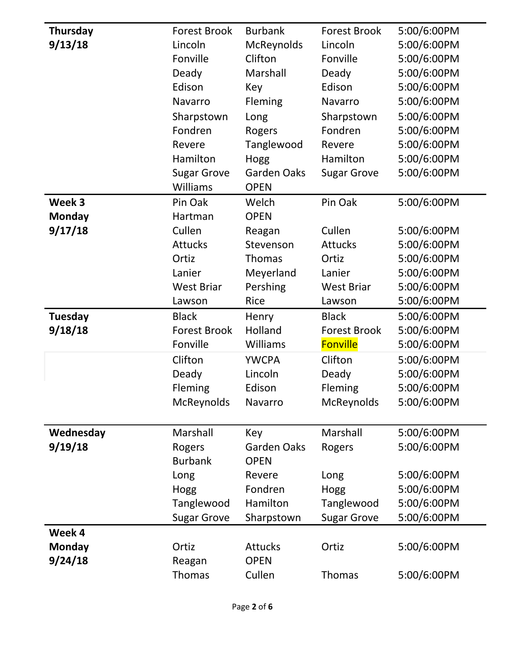| Thursday       | <b>Forest Brook</b>     | <b>Burbank</b>        | <b>Forest Brook</b> | 5:00/6:00PM |
|----------------|-------------------------|-----------------------|---------------------|-------------|
| 9/13/18        | Lincoln                 | McReynolds            | Lincoln             | 5:00/6:00PM |
|                | Fonville                | Clifton               | Fonville            | 5:00/6:00PM |
|                | Deady                   | Marshall              | Deady               | 5:00/6:00PM |
|                | Edison                  | Key                   | Edison              | 5:00/6:00PM |
|                | Navarro                 | Fleming               | Navarro             | 5:00/6:00PM |
|                | Sharpstown              | Long                  | Sharpstown          | 5:00/6:00PM |
|                | Fondren                 | Rogers                | Fondren             | 5:00/6:00PM |
|                | Revere                  | Tanglewood            | Revere              | 5:00/6:00PM |
|                | Hamilton                | Hogg                  | Hamilton            | 5:00/6:00PM |
|                | <b>Sugar Grove</b>      | <b>Garden Oaks</b>    | <b>Sugar Grove</b>  | 5:00/6:00PM |
|                | Williams                | <b>OPEN</b>           |                     |             |
| Week 3         | Pin Oak                 | Welch                 | Pin Oak             | 5:00/6:00PM |
| <b>Monday</b>  | Hartman                 | <b>OPEN</b>           |                     |             |
| 9/17/18        | Cullen                  | Reagan                | Cullen              | 5:00/6:00PM |
|                | <b>Attucks</b>          | Stevenson             | <b>Attucks</b>      | 5:00/6:00PM |
|                | Ortiz                   | Thomas                | Ortiz               | 5:00/6:00PM |
|                | Lanier                  | Meyerland             | Lanier              | 5:00/6:00PM |
|                | <b>West Briar</b>       | Pershing              | <b>West Briar</b>   | 5:00/6:00PM |
|                | Lawson                  | <b>Rice</b>           | Lawson              | 5:00/6:00PM |
|                |                         |                       |                     |             |
| <b>Tuesday</b> | <b>Black</b>            | Henry                 | <b>Black</b>        | 5:00/6:00PM |
| 9/18/18        | <b>Forest Brook</b>     | Holland               | <b>Forest Brook</b> | 5:00/6:00PM |
|                | Fonville                | Williams              | <b>Fonville</b>     | 5:00/6:00PM |
|                | Clifton                 | <b>YWCPA</b>          | Clifton             | 5:00/6:00PM |
|                | Deady                   | Lincoln               | Deady               | 5:00/6:00PM |
|                | Fleming                 | Edison                | Fleming             | 5:00/6:00PM |
|                | McReynolds              | Navarro               | McReynolds          | 5:00/6:00PM |
|                |                         |                       |                     |             |
| Wednesday      | Marshall                | Key                   | Marshall            | 5:00/6:00PM |
| 9/19/18        | Rogers                  | Garden Oaks           | Rogers              | 5:00/6:00PM |
|                | <b>Burbank</b>          | <b>OPEN</b>           |                     |             |
|                | Long                    | Revere                | Long                | 5:00/6:00PM |
|                | Hogg                    | Fondren               | Hogg                | 5:00/6:00PM |
|                | Tanglewood              | Hamilton              | Tanglewood          | 5:00/6:00PM |
|                | <b>Sugar Grove</b>      | Sharpstown            | <b>Sugar Grove</b>  | 5:00/6:00PM |
| Week 4         |                         |                       |                     |             |
| <b>Monday</b>  | Ortiz                   | <b>Attucks</b>        | Ortiz               | 5:00/6:00PM |
| 9/24/18        | Reagan<br><b>Thomas</b> | <b>OPEN</b><br>Cullen | <b>Thomas</b>       | 5:00/6:00PM |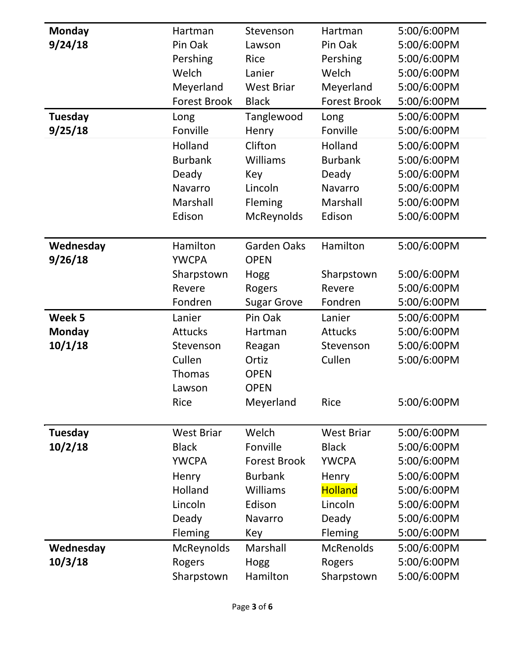| <b>Monday</b>  | Hartman             | Stevenson           | Hartman             | 5:00/6:00PM |
|----------------|---------------------|---------------------|---------------------|-------------|
| 9/24/18        | Pin Oak             | Lawson              | Pin Oak             | 5:00/6:00PM |
|                | Pershing            | Rice                | Pershing            | 5:00/6:00PM |
|                | Welch               | Lanier              | Welch               | 5:00/6:00PM |
|                | Meyerland           | <b>West Briar</b>   | Meyerland           | 5:00/6:00PM |
|                | <b>Forest Brook</b> | <b>Black</b>        | <b>Forest Brook</b> | 5:00/6:00PM |
| <b>Tuesday</b> | Long                | Tanglewood          | Long                | 5:00/6:00PM |
| 9/25/18        | Fonville            | Henry               | Fonville            | 5:00/6:00PM |
|                | Holland             | Clifton             | Holland             | 5:00/6:00PM |
|                | <b>Burbank</b>      | Williams            | <b>Burbank</b>      | 5:00/6:00PM |
|                | Deady               | Key                 | Deady               | 5:00/6:00PM |
|                | Navarro             | Lincoln             | Navarro             | 5:00/6:00PM |
|                | Marshall            | Fleming             | Marshall            | 5:00/6:00PM |
|                | Edison              | McReynolds          | Edison              | 5:00/6:00PM |
|                |                     |                     |                     |             |
| Wednesday      | Hamilton            | <b>Garden Oaks</b>  | Hamilton            | 5:00/6:00PM |
| 9/26/18        | <b>YWCPA</b>        | <b>OPEN</b>         |                     |             |
|                | Sharpstown          | Hogg                | Sharpstown          | 5:00/6:00PM |
|                | Revere              | Rogers              | Revere              | 5:00/6:00PM |
|                | Fondren             | <b>Sugar Grove</b>  | Fondren             | 5:00/6:00PM |
| Week 5         | Lanier              | Pin Oak             | Lanier              | 5:00/6:00PM |
| <b>Monday</b>  | <b>Attucks</b>      | Hartman             | <b>Attucks</b>      | 5:00/6:00PM |
| 10/1/18        | Stevenson           | Reagan              | Stevenson           | 5:00/6:00PM |
|                | Cullen              | Ortiz               | Cullen              | 5:00/6:00PM |
|                | Thomas              | <b>OPEN</b>         |                     |             |
|                | Lawson              | <b>OPEN</b>         |                     |             |
|                | Rice                | Meyerland           | <b>Rice</b>         | 5:00/6:00PM |
|                |                     |                     |                     |             |
| <b>Tuesday</b> | <b>West Briar</b>   | Welch               | <b>West Briar</b>   | 5:00/6:00PM |
| 10/2/18        | <b>Black</b>        | Fonville            | <b>Black</b>        | 5:00/6:00PM |
|                | <b>YWCPA</b>        | <b>Forest Brook</b> | <b>YWCPA</b>        | 5:00/6:00PM |
|                | Henry               | <b>Burbank</b>      | Henry               | 5:00/6:00PM |
|                | Holland             | Williams            | <b>Holland</b>      | 5:00/6:00PM |
|                | Lincoln             | Edison              | Lincoln             | 5:00/6:00PM |
|                | Deady               | Navarro             | Deady               | 5:00/6:00PM |
|                | Fleming             | Key                 | Fleming             | 5:00/6:00PM |
| Wednesday      | McReynolds          | Marshall            | <b>McRenolds</b>    | 5:00/6:00PM |
| 10/3/18        | Rogers              | Hogg                | Rogers              | 5:00/6:00PM |
|                | Sharpstown          | Hamilton            | Sharpstown          | 5:00/6:00PM |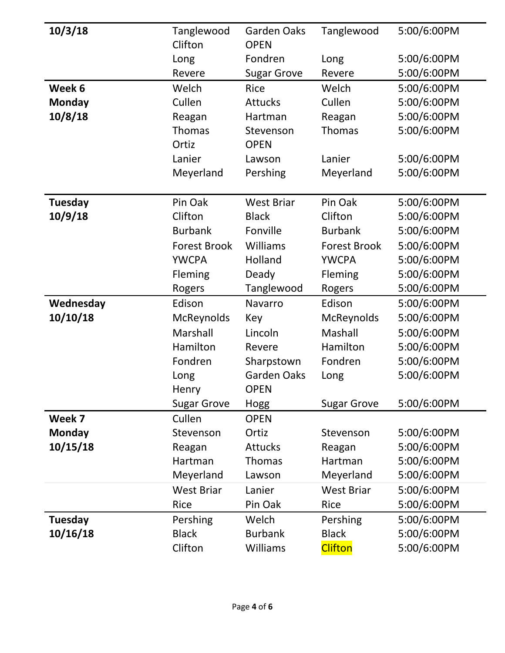| 10/3/18        | Tanglewood          | Garden Oaks        | Tanglewood          | 5:00/6:00PM |
|----------------|---------------------|--------------------|---------------------|-------------|
|                | Clifton             | <b>OPEN</b>        |                     |             |
|                | Long                | Fondren            | Long                | 5:00/6:00PM |
|                | Revere              | <b>Sugar Grove</b> | Revere              | 5:00/6:00PM |
| Week 6         | Welch               | Rice               | Welch               | 5:00/6:00PM |
| <b>Monday</b>  | Cullen              | <b>Attucks</b>     | Cullen              | 5:00/6:00PM |
| 10/8/18        | Reagan              | Hartman            | Reagan              | 5:00/6:00PM |
|                | <b>Thomas</b>       | Stevenson          | <b>Thomas</b>       | 5:00/6:00PM |
|                | Ortiz               | <b>OPEN</b>        |                     |             |
|                | Lanier              | Lawson             | Lanier              | 5:00/6:00PM |
|                | Meyerland           | Pershing           | Meyerland           | 5:00/6:00PM |
|                |                     |                    |                     |             |
| <b>Tuesday</b> | Pin Oak             | <b>West Briar</b>  | Pin Oak             | 5:00/6:00PM |
| 10/9/18        | Clifton             | <b>Black</b>       | Clifton             | 5:00/6:00PM |
|                | <b>Burbank</b>      | Fonville           | <b>Burbank</b>      | 5:00/6:00PM |
|                | <b>Forest Brook</b> | Williams           | <b>Forest Brook</b> | 5:00/6:00PM |
|                | <b>YWCPA</b>        | Holland            | <b>YWCPA</b>        | 5:00/6:00PM |
|                | Fleming             | Deady              | Fleming             | 5:00/6:00PM |
|                | Rogers              | Tanglewood         | Rogers              | 5:00/6:00PM |
| Wednesday      | Edison              | Navarro            | Edison              | 5:00/6:00PM |
| 10/10/18       | McReynolds          | Key                | McReynolds          | 5:00/6:00PM |
|                | Marshall            | Lincoln            | Mashall             | 5:00/6:00PM |
|                | Hamilton            | Revere             | Hamilton            | 5:00/6:00PM |
|                | Fondren             | Sharpstown         | Fondren             | 5:00/6:00PM |
|                | Long                | Garden Oaks        | Long                | 5:00/6:00PM |
|                | Henry               | <b>OPEN</b>        |                     |             |
|                | <b>Sugar Grove</b>  | Hogg               | <b>Sugar Grove</b>  | 5:00/6:00PM |
| Week 7         | Cullen              | <b>OPEN</b>        |                     |             |
| <b>Monday</b>  | Stevenson           | Ortiz              | Stevenson           | 5:00/6:00PM |
| 10/15/18       | Reagan              | <b>Attucks</b>     | Reagan              | 5:00/6:00PM |
|                | Hartman             | <b>Thomas</b>      | Hartman             | 5:00/6:00PM |
|                | Meyerland           | Lawson             | Meyerland           | 5:00/6:00PM |
|                | <b>West Briar</b>   | Lanier             | <b>West Briar</b>   | 5:00/6:00PM |
|                | Rice                | Pin Oak            | <b>Rice</b>         | 5:00/6:00PM |
| <b>Tuesday</b> | Pershing            | Welch              | Pershing            | 5:00/6:00PM |
| 10/16/18       | <b>Black</b>        | <b>Burbank</b>     | <b>Black</b>        | 5:00/6:00PM |
|                | Clifton             | Williams           | <b>Clifton</b>      | 5:00/6:00PM |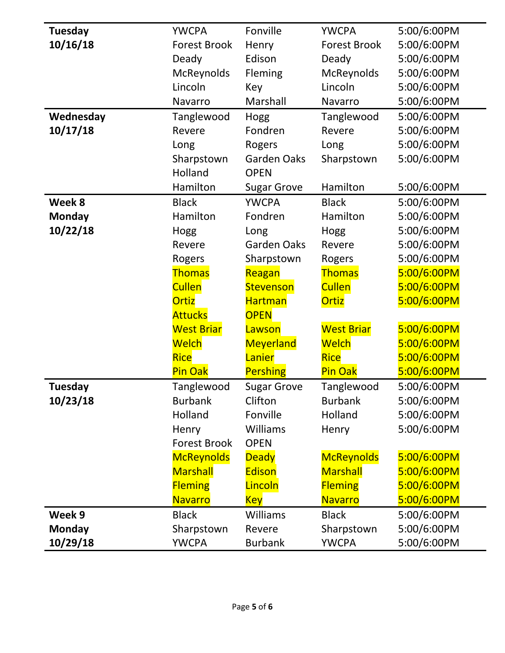| <b>Tuesday</b> | <b>YWCPA</b>        | Fonville           | <b>YWCPA</b>        | 5:00/6:00PM |
|----------------|---------------------|--------------------|---------------------|-------------|
| 10/16/18       | <b>Forest Brook</b> | Henry              | <b>Forest Brook</b> | 5:00/6:00PM |
|                | Deady               | Edison             | Deady               | 5:00/6:00PM |
|                | McReynolds          | <b>Fleming</b>     | McReynolds          | 5:00/6:00PM |
|                | Lincoln             | Key                | Lincoln             | 5:00/6:00PM |
|                | Navarro             | Marshall           | Navarro             | 5:00/6:00PM |
| Wednesday      | Tanglewood          | Hogg               | Tanglewood          | 5:00/6:00PM |
| 10/17/18       | Revere              | Fondren            | Revere              | 5:00/6:00PM |
|                | Long                | Rogers             | Long                | 5:00/6:00PM |
|                | Sharpstown          | <b>Garden Oaks</b> | Sharpstown          | 5:00/6:00PM |
|                | Holland             | <b>OPEN</b>        |                     |             |
|                | Hamilton            | <b>Sugar Grove</b> | Hamilton            | 5:00/6:00PM |
| Week 8         | <b>Black</b>        | <b>YWCPA</b>       | <b>Black</b>        | 5:00/6:00PM |
| <b>Monday</b>  | Hamilton            | Fondren            | Hamilton            | 5:00/6:00PM |
| 10/22/18       | Hogg                | Long               | Hogg                | 5:00/6:00PM |
|                | Revere              | <b>Garden Oaks</b> | Revere              | 5:00/6:00PM |
|                | Rogers              | Sharpstown         | Rogers              | 5:00/6:00PM |
|                | <b>Thomas</b>       | Reagan             | <b>Thomas</b>       | 5:00/6:00PM |
|                | <b>Cullen</b>       | <b>Stevenson</b>   | <b>Cullen</b>       | 5:00/6:00PM |
|                | <b>Ortiz</b>        | <b>Hartman</b>     | <b>Ortiz</b>        | 5:00/6:00PM |
|                | <b>Attucks</b>      | <b>OPEN</b>        |                     |             |
|                | <b>West Briar</b>   | Lawson             | <b>West Briar</b>   | 5:00/6:00PM |
|                | <b>Welch</b>        | Meyerland          | <b>Welch</b>        | 5:00/6:00PM |
|                | <b>Rice</b>         | Lanier             | <b>Rice</b>         | 5:00/6:00PM |
|                | Pin Oak             | <b>Pershing</b>    | Pin Oak             | 5:00/6:00PM |
| Tuesday        | Tanglewood          | <b>Sugar Grove</b> | Tanglewood          | 5:00/6:00PM |
| 10/23/18       | <b>Burbank</b>      | Clifton            | <b>Burbank</b>      | 5:00/6:00PM |
|                | Holland             | Fonville           | Holland             | 5:00/6:00PM |
|                | Henry               | Williams           | Henry               | 5:00/6:00PM |
|                | <b>Forest Brook</b> | <b>OPEN</b>        |                     |             |
|                | <b>McReynolds</b>   | <b>Deady</b>       | <b>McReynolds</b>   | 5:00/6:00PM |
|                | <b>Marshall</b>     | <b>Edison</b>      | <b>Marshall</b>     | 5:00/6:00PM |
|                | <b>Fleming</b>      | Lincoln            | <b>Fleming</b>      | 5:00/6:00PM |
|                | <b>Navarro</b>      | <b>Key</b>         | <b>Navarro</b>      | 5:00/6:00PM |
| Week 9         | <b>Black</b>        | Williams           | <b>Black</b>        | 5:00/6:00PM |
| <b>Monday</b>  | Sharpstown          | Revere             | Sharpstown          | 5:00/6:00PM |
| 10/29/18       | <b>YWCPA</b>        | <b>Burbank</b>     | <b>YWCPA</b>        | 5:00/6:00PM |